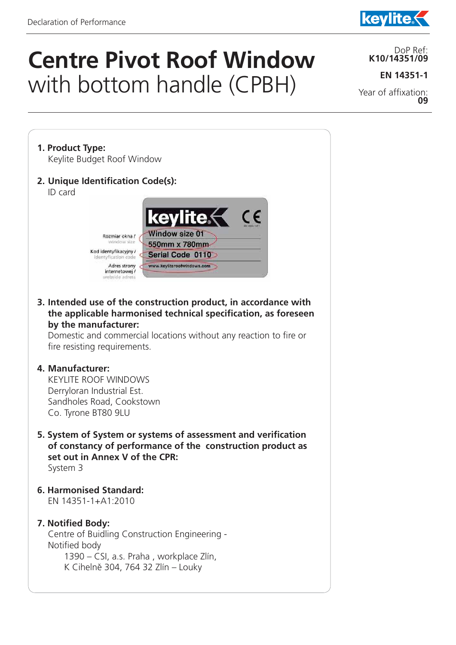j



# **Centre Pivot Roof Window**  with bottom handle (CPBH)

DoP Ref: **K10/14351/09**

**EN 14351-1**

Year of affixation: **09**

- **1. Product Type:**  Keylite Budget Roof Window
- **2. Unique Identification Code(s):**  ID card



**3. Intended use of the construction product, in accordance with the applicable harmonised technical specification, as foreseen by the manufacturer:** 

Domestic and commercial locations without any reaction to fire or fire resisting requirements.

#### **4. Manufacturer:**

 KEYLITE ROOF WINDOWS Derryloran Industrial Est. Sandholes Road, Cookstown Co. Tyrone BT80 9LU

- **5. System of System or systems of assessment and verification of constancy of performance of the construction product as set out in Annex V of the CPR:** System 3
- **6. Harmonised Standard:** EN 14351-1+A1:2010

## **7. Notified Body:**

 Centre of Buidling Construction Engineering - Notified body 1390 – CSI, a.s. Praha , workplace Zlín, K Cihelně 304, 764 32 Zlín – Louky